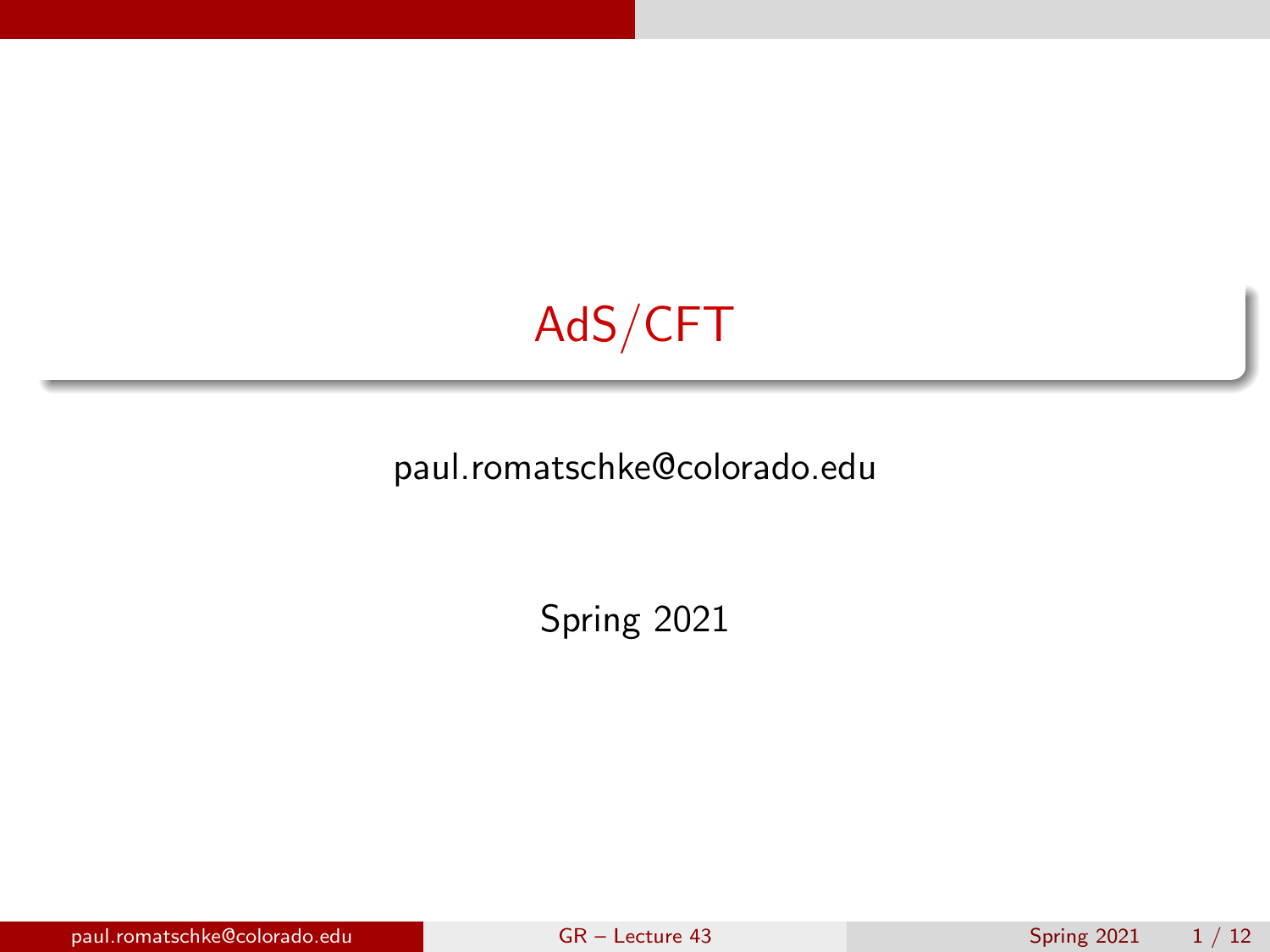<span id="page-0-0"></span>

#### paul.romatschke@colorado.edu

Spring 2021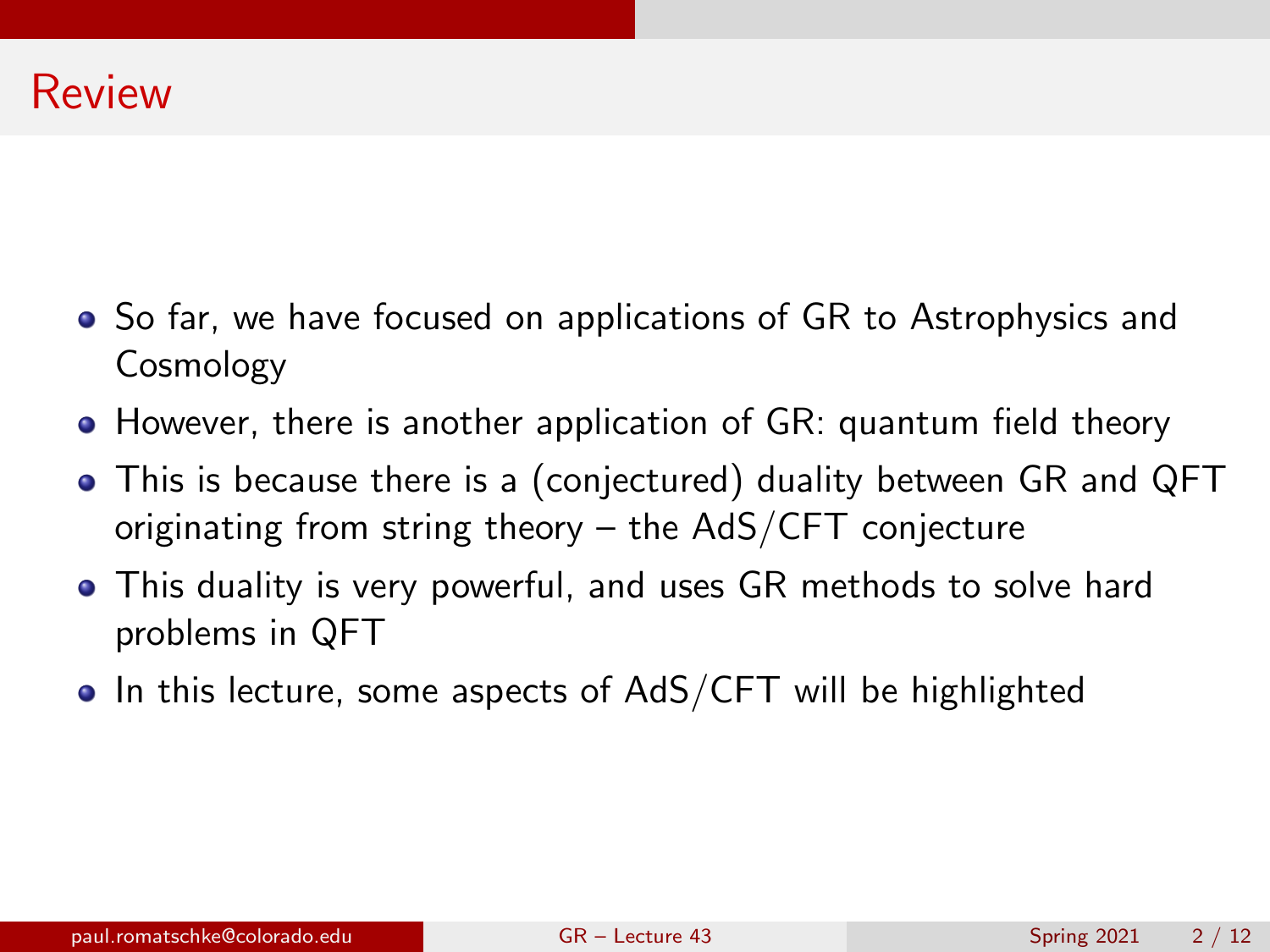- So far, we have focused on applications of GR to Astrophysics and Cosmology
- However, there is another application of GR: quantum field theory
- This is because there is a (conjectured) duality between GR and QFT originating from string theory – the AdS/CFT conjecture
- This duality is very powerful, and uses GR methods to solve hard problems in QFT
- $\bullet$  In this lecture, some aspects of AdS/CFT will be highlighted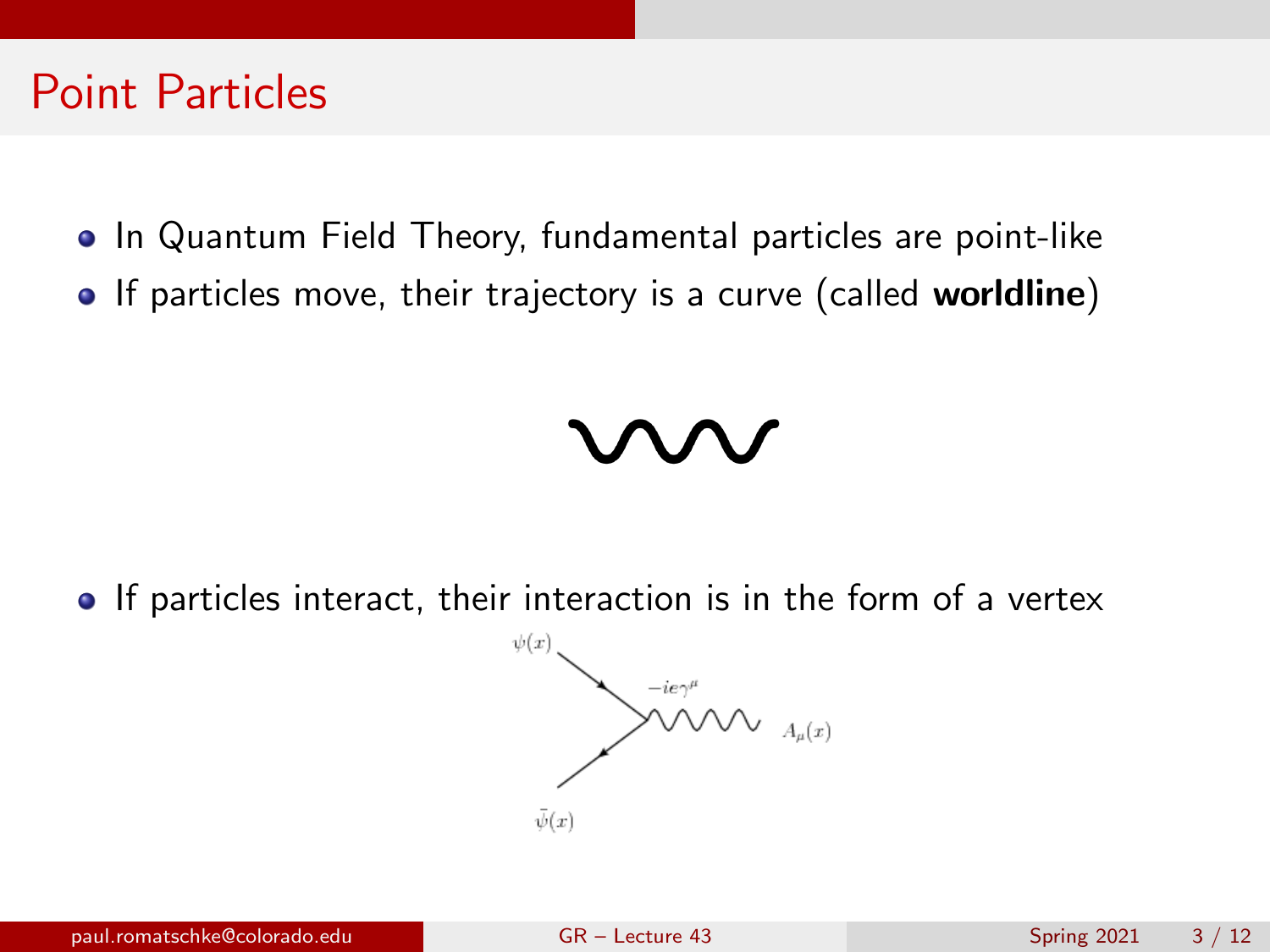#### Point Particles

- In Quantum Field Theory, fundamental particles are point-like
- If particles move, their trajectory is a curve (called worldline)

• If particles interact, their interaction is in the form of a vertex

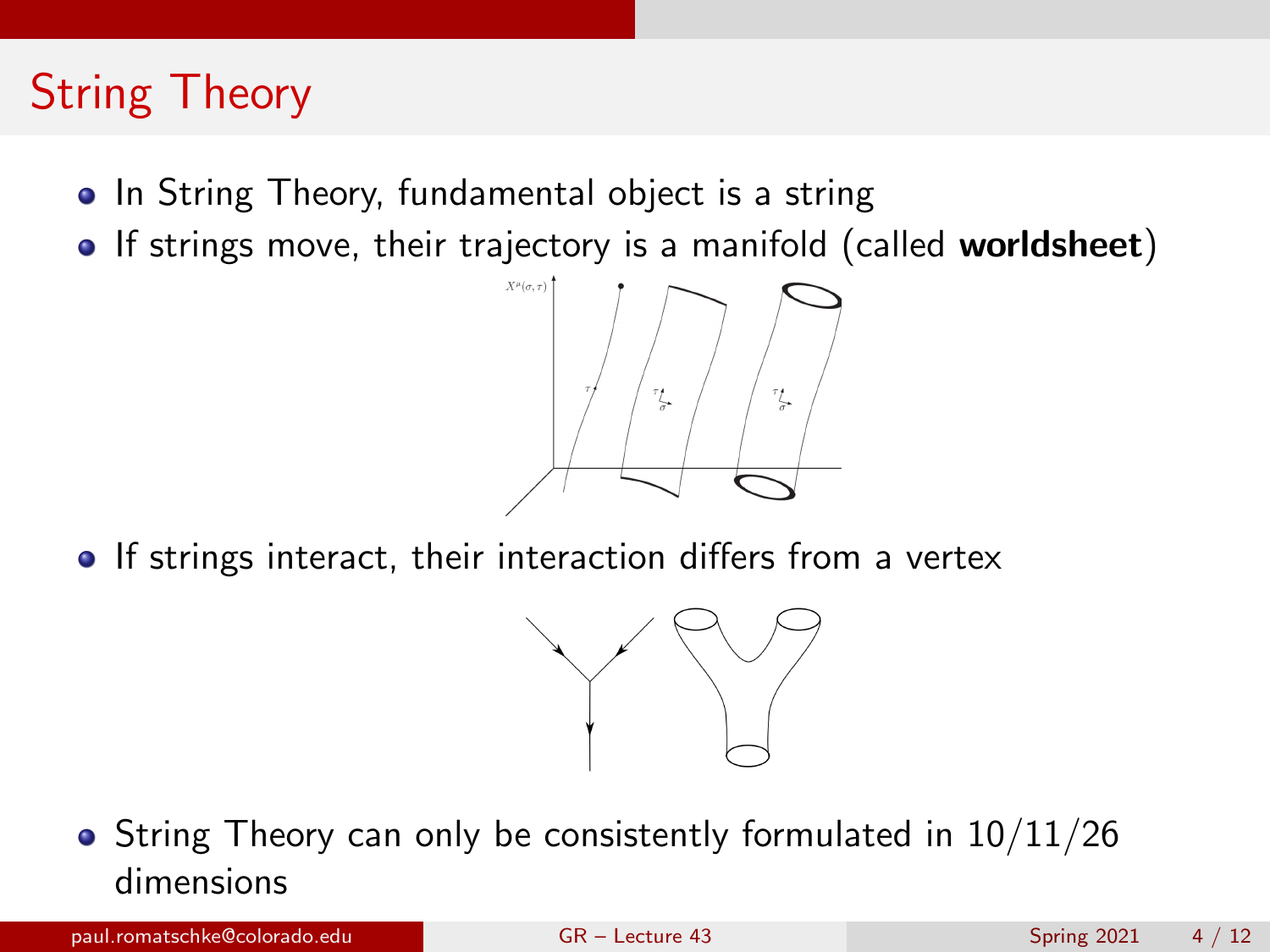# String Theory

- In String Theory, fundamental object is a string
- If strings move, their trajectory is a manifold (called worldsheet)



• If strings interact, their interaction differs from a vertex



• String Theory can only be consistently formulated in  $10/11/26$ dimensions

paul.romatschke@colorado.edu [GR – Lecture 43](#page-0-0) Spring 2021 4 / 12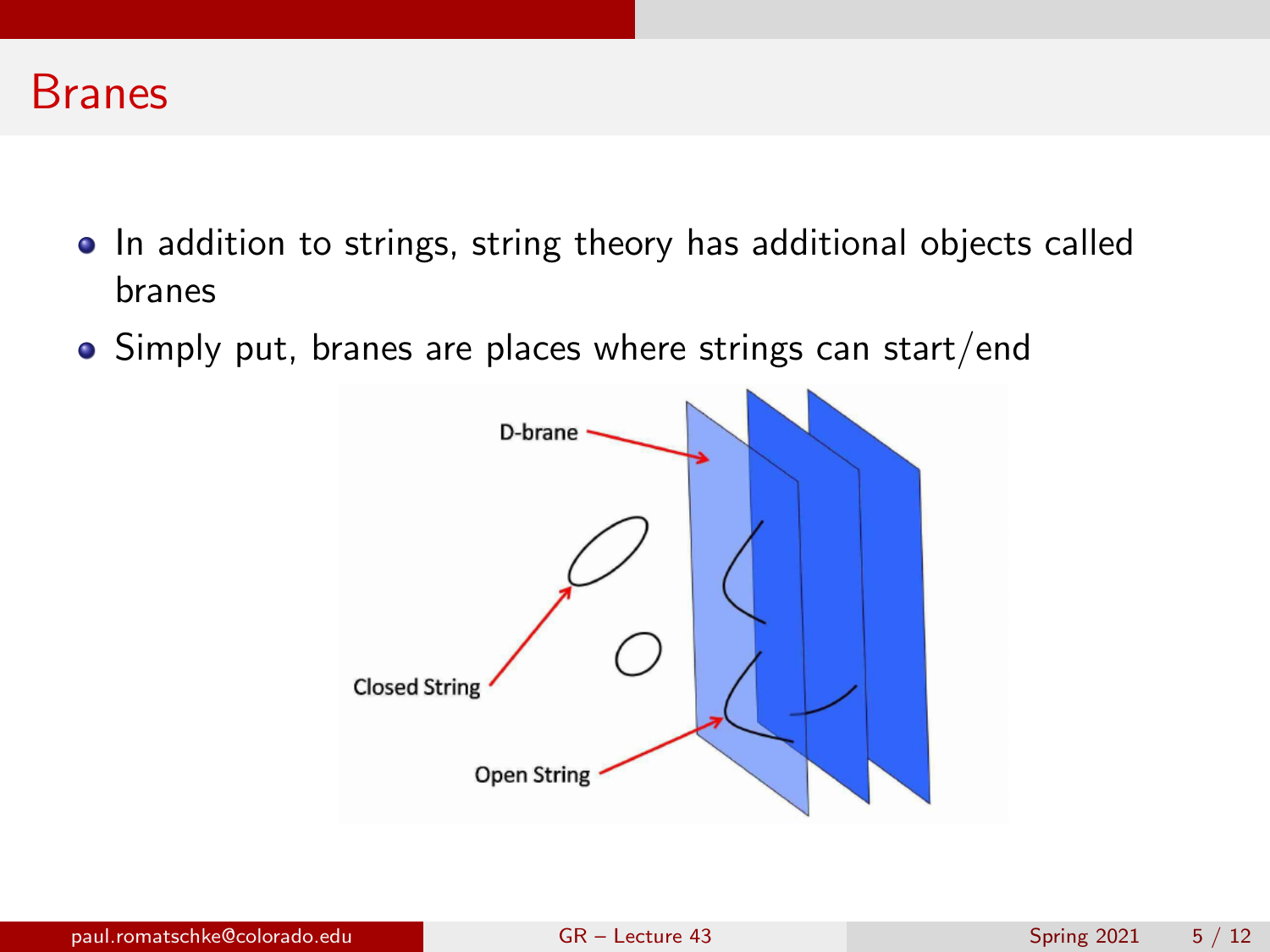

- In addition to strings, string theory has additional objects called branes
- Simply put, branes are places where strings can start/end

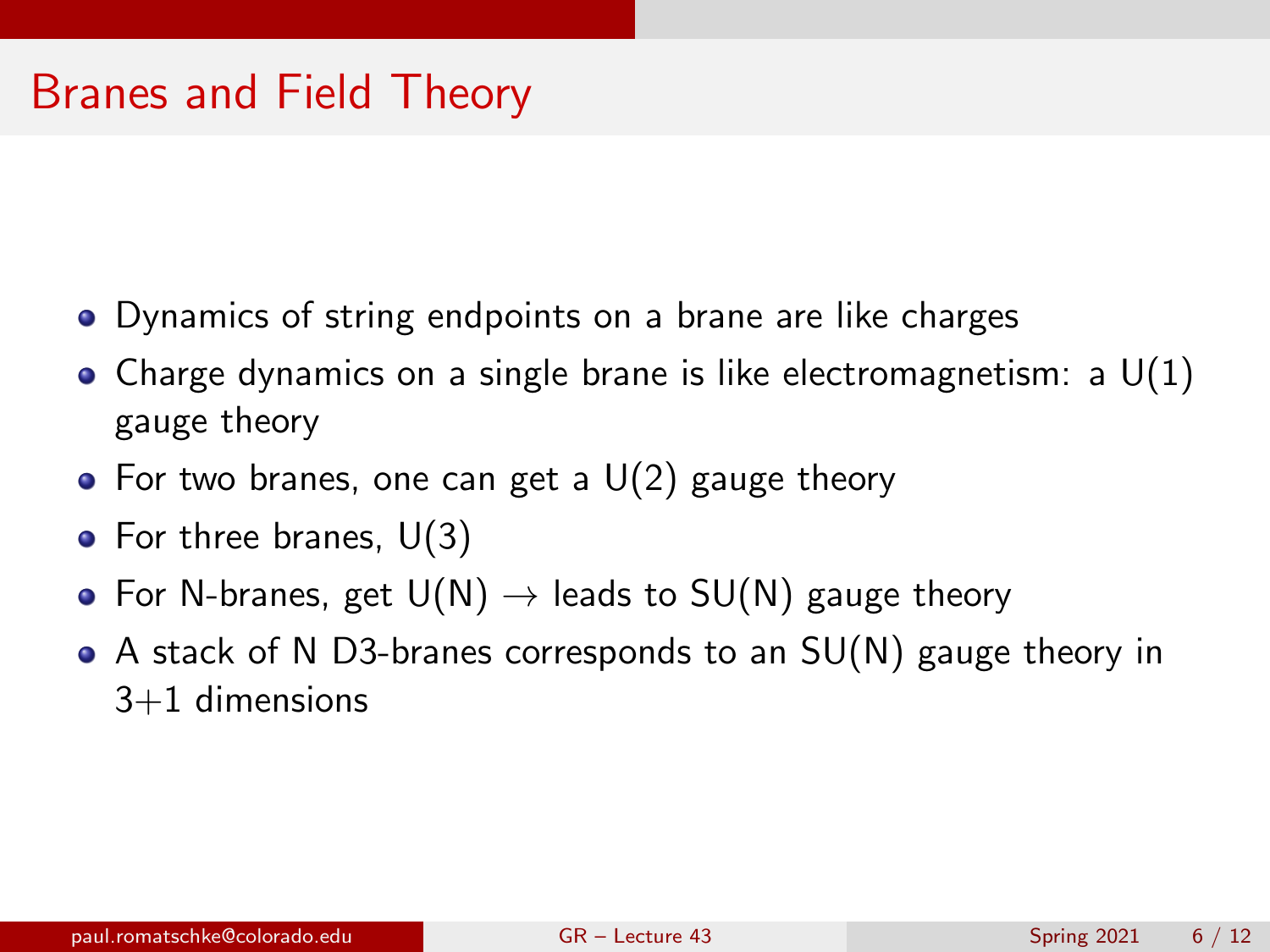# Branes and Field Theory

- Dynamics of string endpoints on a brane are like charges
- Charge dynamics on a single brane is like electromagnetism: a  $U(1)$ gauge theory
- For two branes, one can get a  $U(2)$  gauge theory
- For three branes,  $U(3)$
- For N-branes, get  $U(N) \rightarrow$  leads to  $SU(N)$  gauge theory
- A stack of N D3-branes corresponds to an SU(N) gauge theory in 3+1 dimensions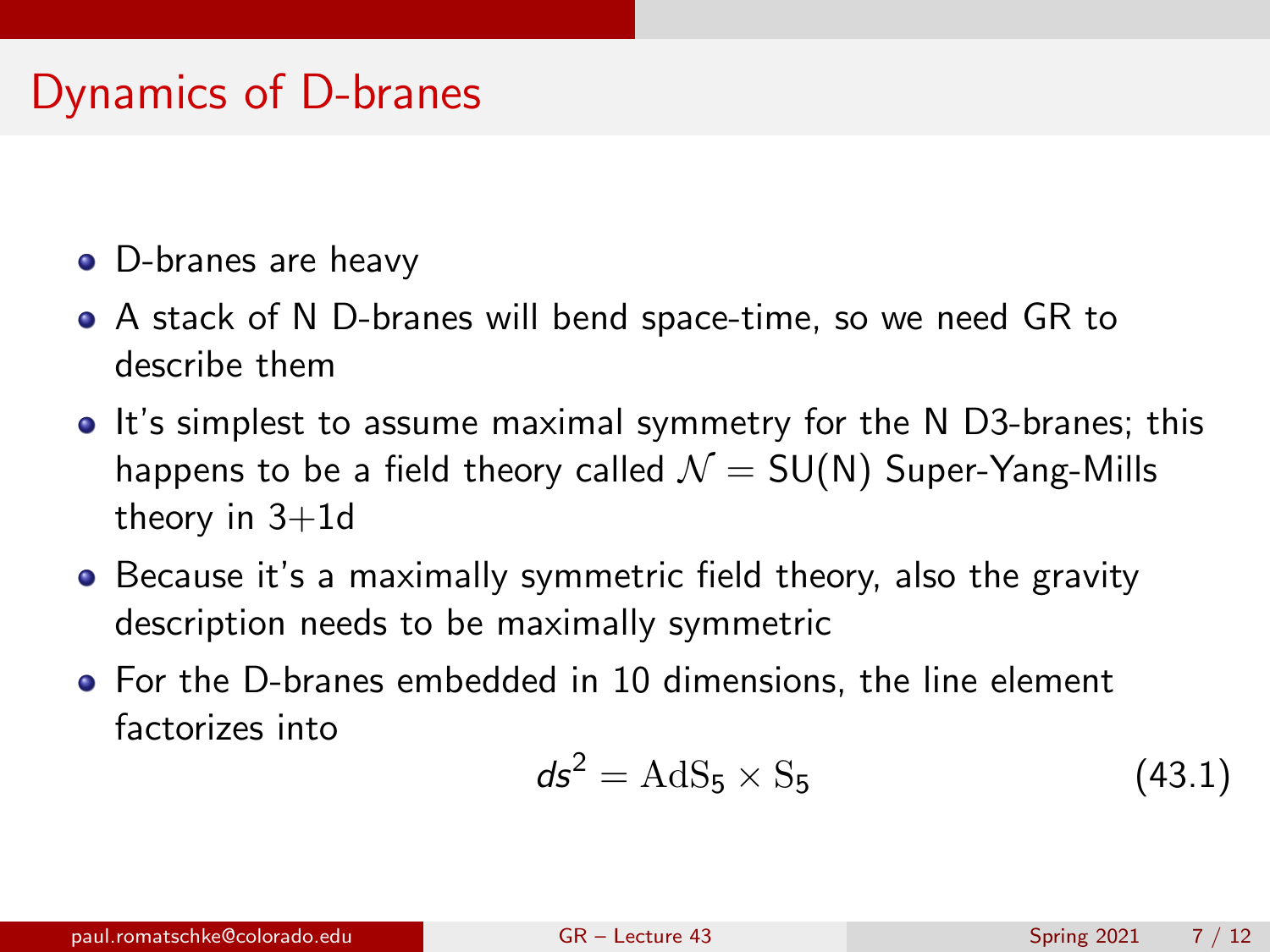# Dynamics of D-branes

- D-branes are heavy
- A stack of N D-branes will bend space-time, so we need GR to describe them
- It's simplest to assume maximal symmetry for the N D3-branes; this happens to be a field theory called  $\mathcal{N} = SU(N)$  Super-Yang-Mills theory in  $3+1d$
- Because it's a maximally symmetric field theory, also the gravity description needs to be maximally symmetric
- For the D-branes embedded in 10 dimensions, the line element factorizes into

$$
ds^2 = \text{AdS}_5 \times \text{S}_5 \tag{43.1}
$$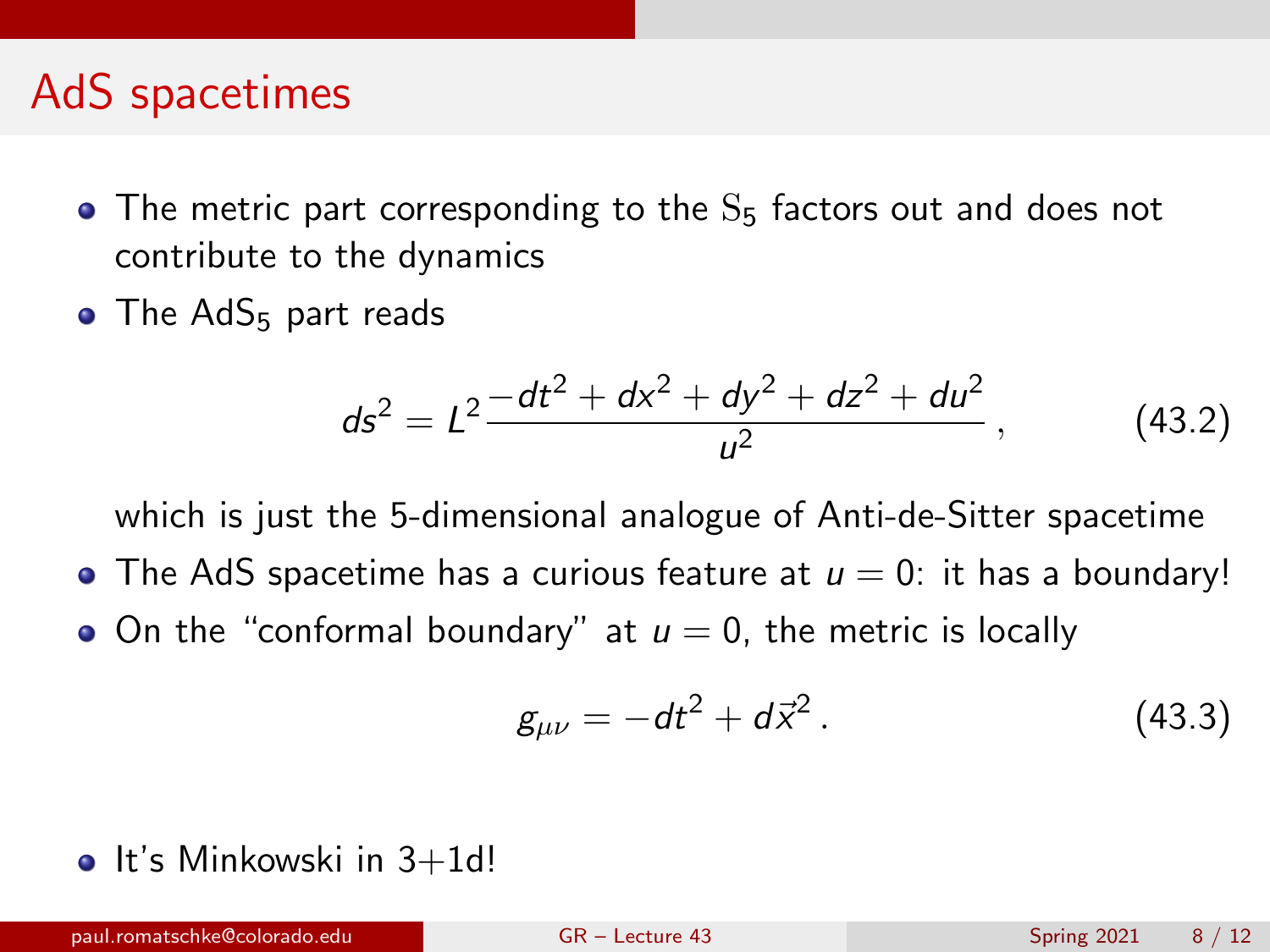#### AdS spacetimes

- $\bullet$  The metric part corresponding to the  $S_5$  factors out and does not contribute to the dynamics
- $\bullet$  The AdS<sub>5</sub> part reads

$$
ds^{2} = L^{2} \frac{-dt^{2} + dx^{2} + dy^{2} + dz^{2} + du^{2}}{u^{2}},
$$
 (43.2)

which is just the 5-dimensional analogue of Anti-de-Sitter spacetime

- $\bullet$  The AdS spacetime has a curious feature at  $u = 0$ : it has a boundary!
- On the "conformal boundary" at  $u = 0$ , the metric is locally

$$
g_{\mu\nu} = -dt^2 + d\vec{x}^2. \tag{43.3}
$$

 $\bullet$  It's Minkowski in 3+1d!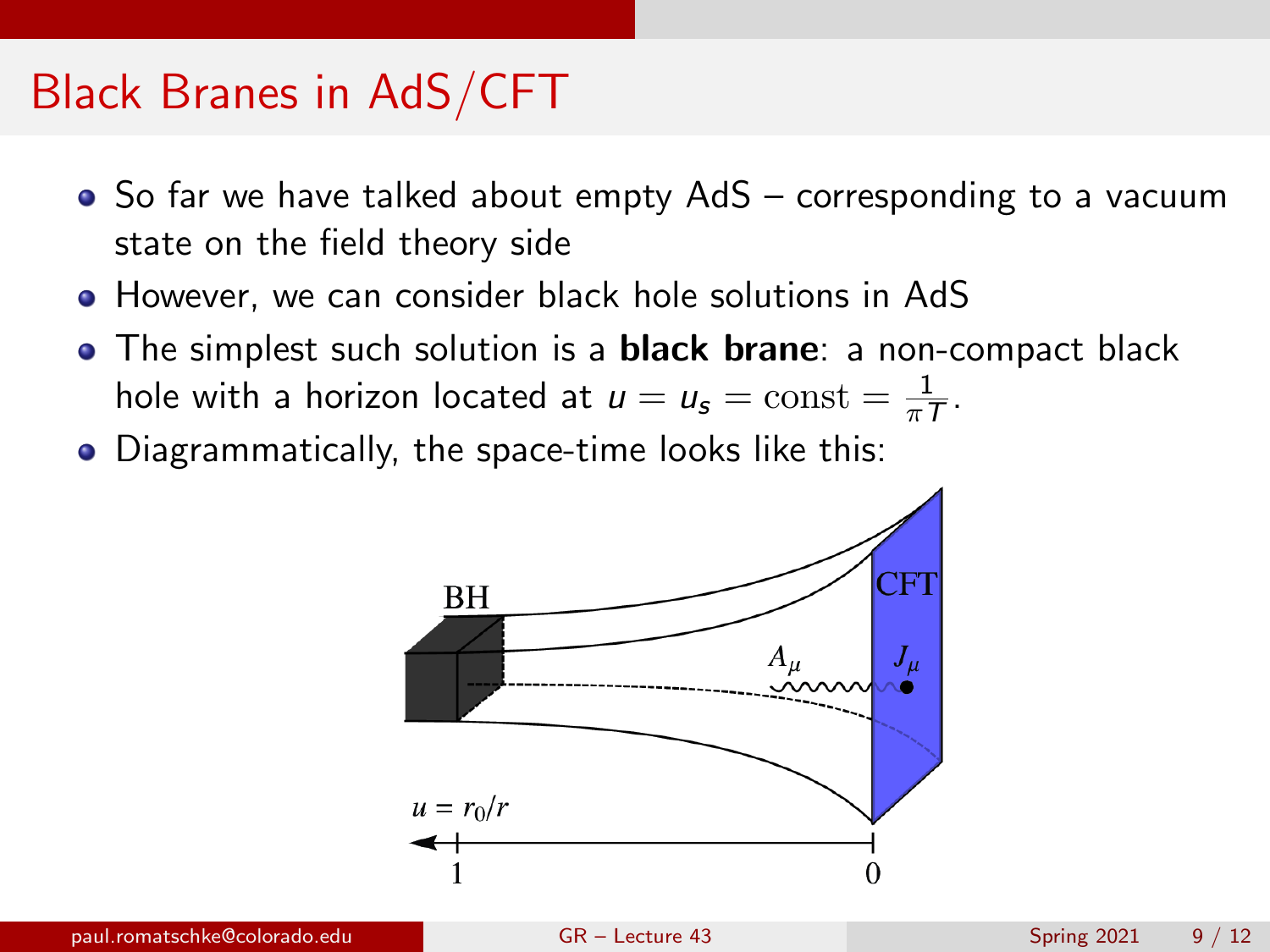## Black Branes in AdS/CFT

- So far we have talked about empty AdS corresponding to a vacuum state on the field theory side
- However, we can consider black hole solutions in AdS
- The simplest such solution is a **black brane**: a non-compact black hole with a horizon located at  $u=u_{\mathsf{s}}=\mathrm{const}=\frac{1}{\pi^2}$  $\frac{1}{\pi T}$ .
- Diagrammatically, the space-time looks like this:

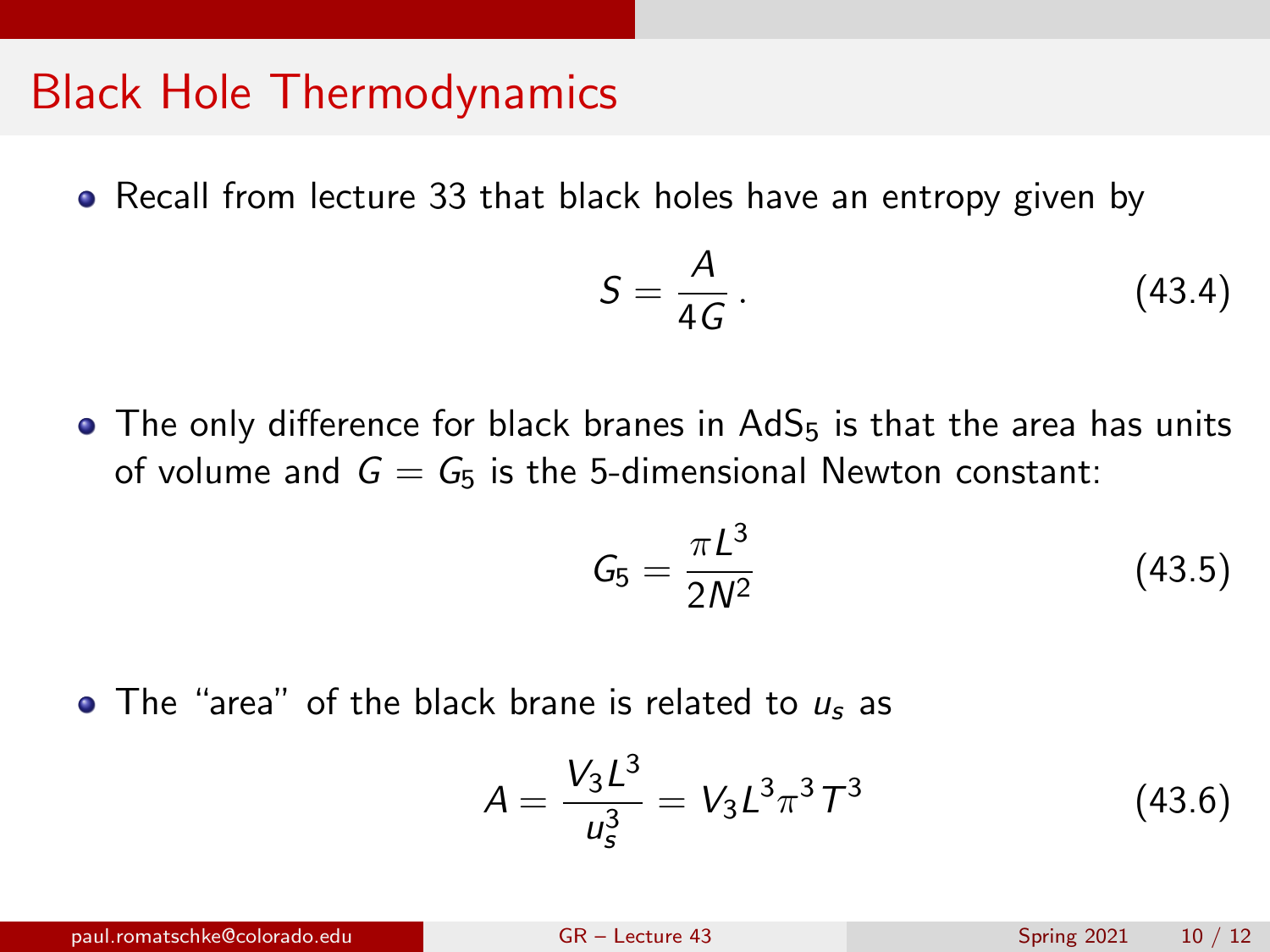#### Black Hole Thermodynamics

• Recall from lecture 33 that black holes have an entropy given by

$$
S = \frac{A}{4G} \,. \tag{43.4}
$$

• The only difference for black branes in  $AdS<sub>5</sub>$  is that the area has units of volume and  $G = G_5$  is the 5-dimensional Newton constant:

$$
G_5 = \frac{\pi L^3}{2N^2} \tag{43.5}
$$

 $\bullet$  The "area" of the black brane is related to  $u_s$  as

$$
A = \frac{V_3 L^3}{u_s^3} = V_3 L^3 \pi^3 T^3 \tag{43.6}
$$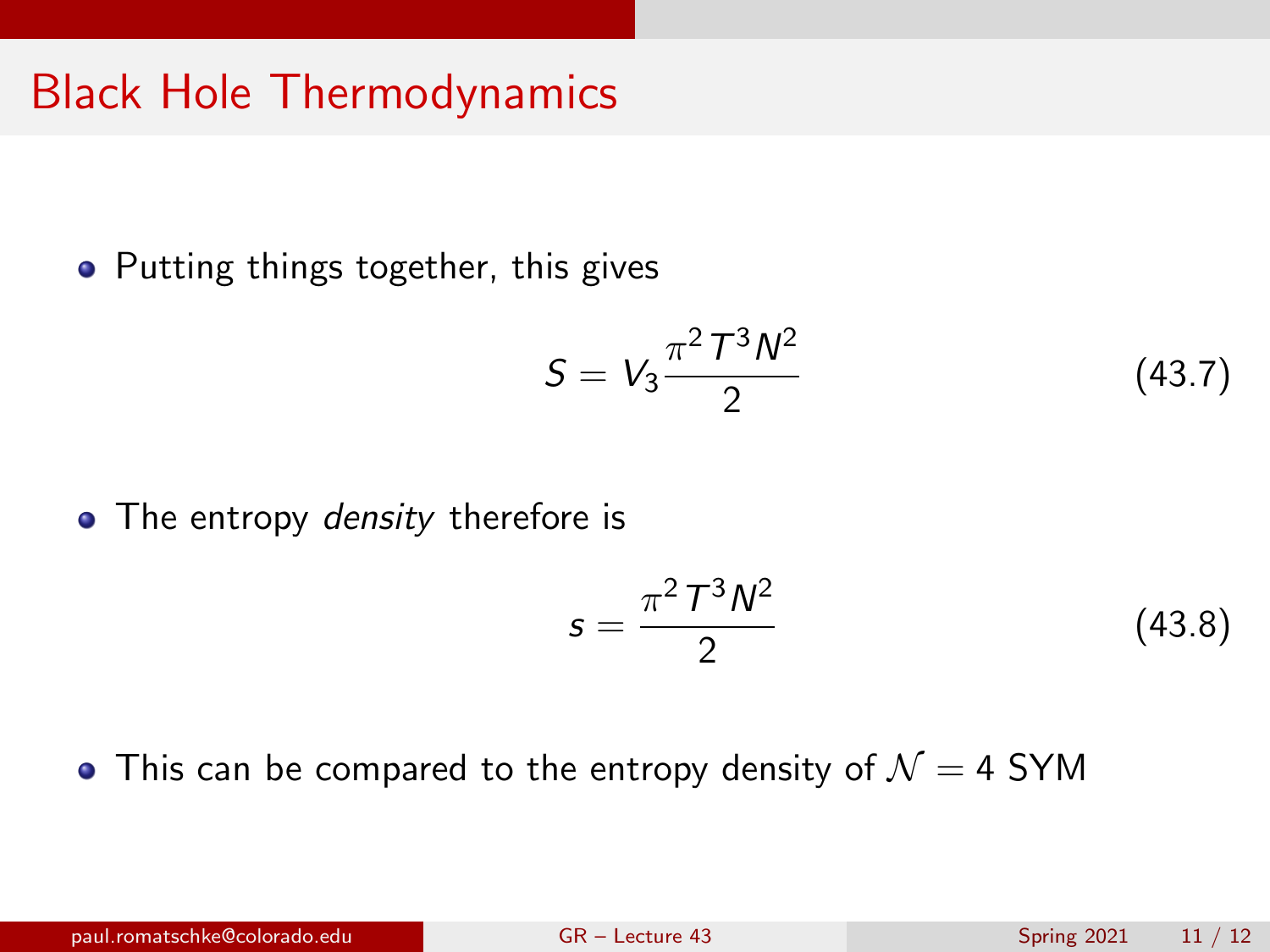## Black Hole Thermodynamics

• Putting things together, this gives

$$
S = V_3 \frac{\pi^2 T^3 N^2}{2} \tag{43.7}
$$

• The entropy *density* therefore is

<span id="page-10-0"></span>
$$
s = \frac{\pi^2 T^3 N^2}{2}
$$
 (43.8)

• This can be compared to the entropy density of  $\mathcal{N}=4$  SYM